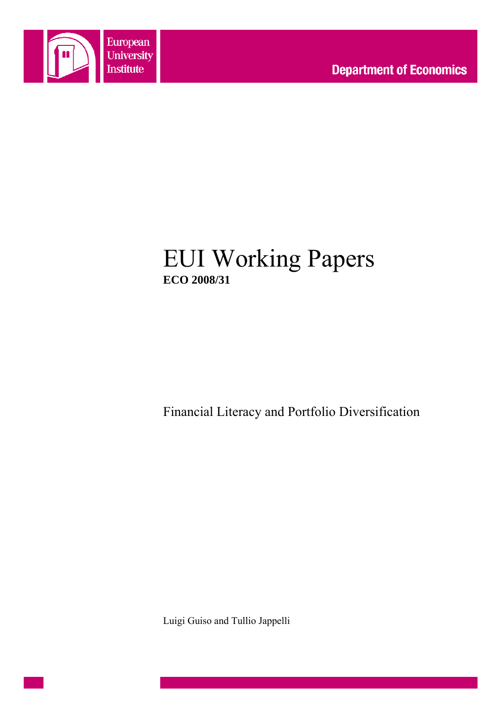

# EUI Working Papers **ECO 2008/31**

Financial Literacy and Portfolio Diversification

Luigi Guiso and Tullio Jappelli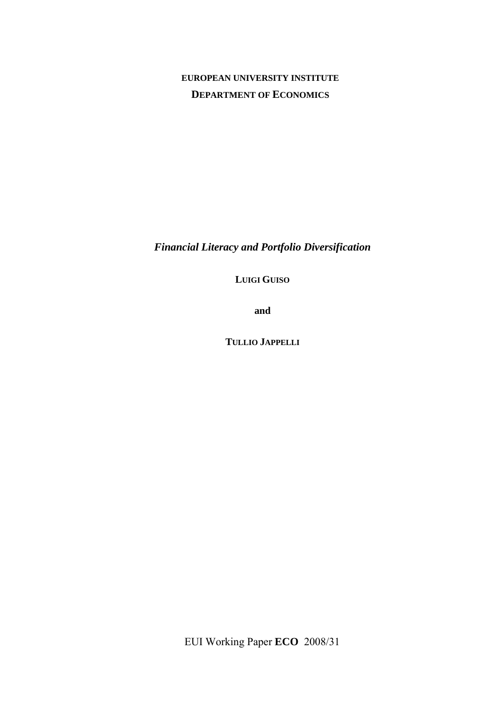# **EUROPEAN UNIVERSITY INSTITUTE DEPARTMENT OF ECONOMICS**

*Financial Literacy and Portfolio Diversification* 

**LUIGI GUISO** 

**and** 

**TULLIO JAPPELLI**

EUI Working Paper **ECO** 2008/31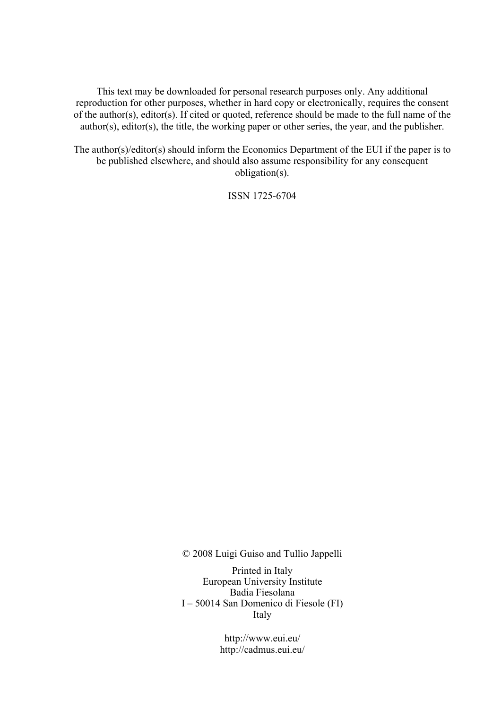This text may be downloaded for personal research purposes only. Any additional reproduction for other purposes, whether in hard copy or electronically, requires the consent of the author(s), editor(s). If cited or quoted, reference should be made to the full name of the author(s), editor(s), the title, the working paper or other series, the year, and the publisher.

The author(s)/editor(s) should inform the Economics Department of the EUI if the paper is to be published elsewhere, and should also assume responsibility for any consequent obligation(s).

ISSN 1725-6704

© 2008 Luigi Guiso and Tullio Jappelli

Printed in Italy European University Institute Badia Fiesolana I – 50014 San Domenico di Fiesole (FI) Italy

> http://www.eui.eu/ http://cadmus.eui.eu/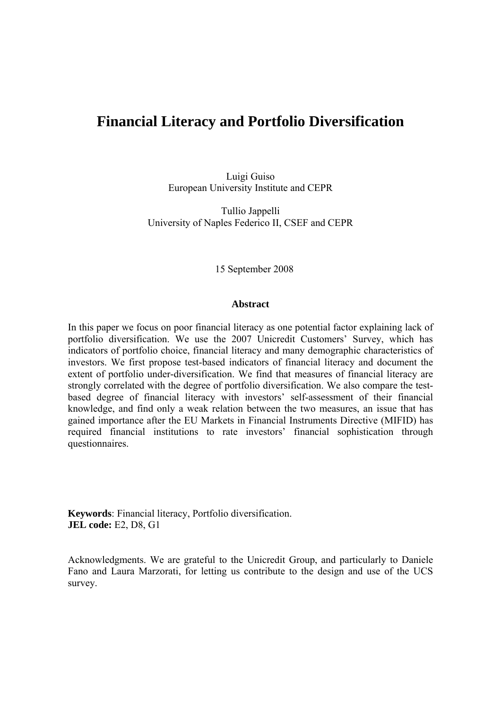# **Financial Literacy and Portfolio Diversification**

Luigi Guiso European University Institute and CEPR

Tullio Jappelli University of Naples Federico II, CSEF and CEPR

15 September 2008

#### **Abstract**

In this paper we focus on poor financial literacy as one potential factor explaining lack of portfolio diversification. We use the 2007 Unicredit Customers' Survey, which has indicators of portfolio choice, financial literacy and many demographic characteristics of investors. We first propose test-based indicators of financial literacy and document the extent of portfolio under-diversification. We find that measures of financial literacy are strongly correlated with the degree of portfolio diversification. We also compare the testbased degree of financial literacy with investors' self-assessment of their financial knowledge, and find only a weak relation between the two measures, an issue that has gained importance after the EU Markets in Financial Instruments Directive (MIFID) has required financial institutions to rate investors' financial sophistication through questionnaires.

**Keywords**: Financial literacy, Portfolio diversification. **JEL code:** E2, D8, G1

Acknowledgments. We are grateful to the Unicredit Group, and particularly to Daniele Fano and Laura Marzorati, for letting us contribute to the design and use of the UCS survey.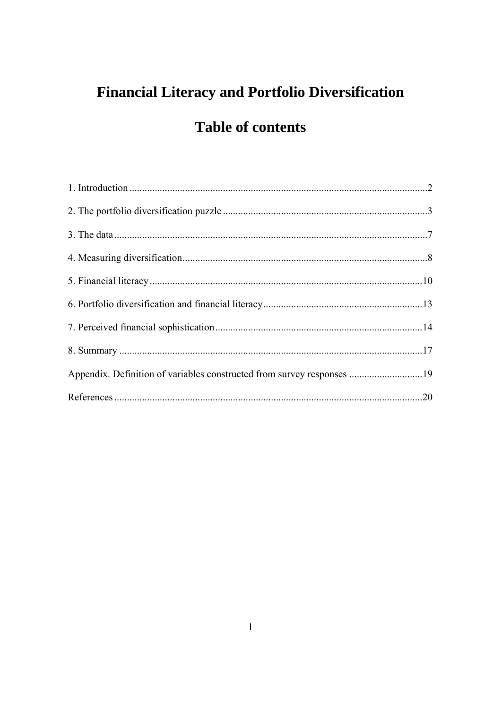# **Financial Literacy and Portfolio Diversification**

# **Table of contents**

| Appendix. Definition of variables constructed from survey responses 19 |  |
|------------------------------------------------------------------------|--|
|                                                                        |  |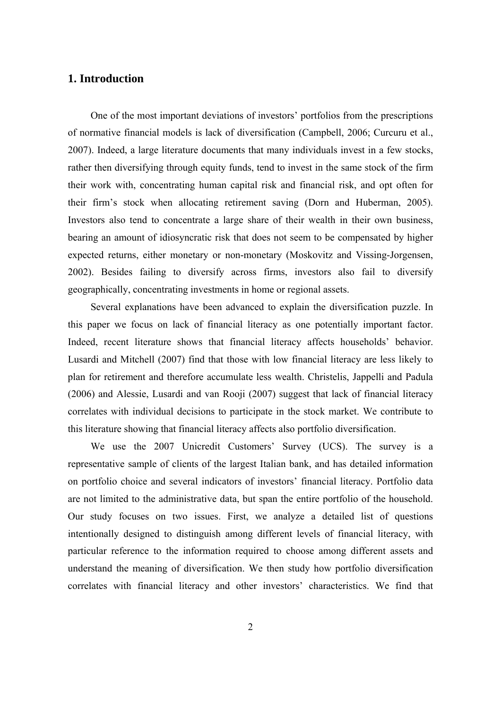## <span id="page-6-0"></span>**1. Introduction**

One of the most important deviations of investors' portfolios from the prescriptions of normative financial models is lack of diversification (Campbell, 2006; Curcuru et al., 2007). Indeed, a large literature documents that many individuals invest in a few stocks, rather then diversifying through equity funds, tend to invest in the same stock of the firm their work with, concentrating human capital risk and financial risk, and opt often for their firm's stock when allocating retirement saving (Dorn and Huberman, 2005). Investors also tend to concentrate a large share of their wealth in their own business, bearing an amount of idiosyncratic risk that does not seem to be compensated by higher expected returns, either monetary or non-monetary (Moskovitz and Vissing-Jorgensen, 2002). Besides failing to diversify across firms, investors also fail to diversify geographically, concentrating investments in home or regional assets.

Several explanations have been advanced to explain the diversification puzzle. In this paper we focus on lack of financial literacy as one potentially important factor. Indeed, recent literature shows that financial literacy affects households' behavior. Lusardi and Mitchell (2007) find that those with low financial literacy are less likely to plan for retirement and therefore accumulate less wealth. Christelis, Jappelli and Padula (2006) and Alessie, Lusardi and van Rooji (2007) suggest that lack of financial literacy correlates with individual decisions to participate in the stock market. We contribute to this literature showing that financial literacy affects also portfolio diversification.

We use the 2007 Unicredit Customers' Survey (UCS). The survey is a representative sample of clients of the largest Italian bank, and has detailed information on portfolio choice and several indicators of investors' financial literacy. Portfolio data are not limited to the administrative data, but span the entire portfolio of the household. Our study focuses on two issues. First, we analyze a detailed list of questions intentionally designed to distinguish among different levels of financial literacy, with particular reference to the information required to choose among different assets and understand the meaning of diversification. We then study how portfolio diversification correlates with financial literacy and other investors' characteristics. We find that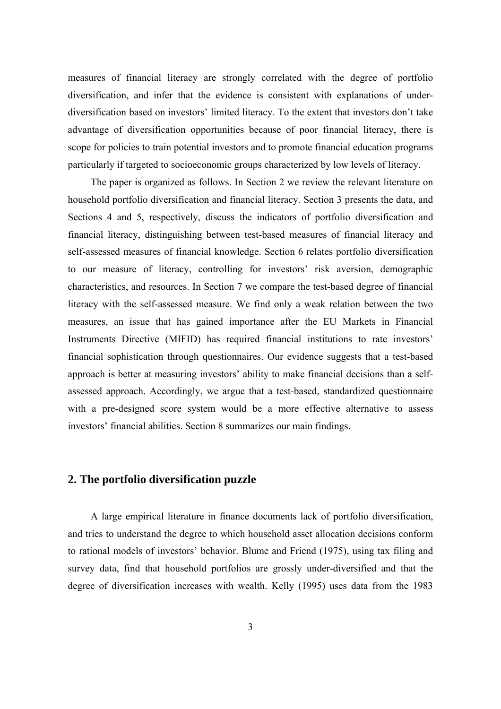<span id="page-7-0"></span>measures of financial literacy are strongly correlated with the degree of portfolio diversification, and infer that the evidence is consistent with explanations of underdiversification based on investors' limited literacy. To the extent that investors don't take advantage of diversification opportunities because of poor financial literacy, there is scope for policies to train potential investors and to promote financial education programs particularly if targeted to socioeconomic groups characterized by low levels of literacy.

The paper is organized as follows. In Section 2 we review the relevant literature on household portfolio diversification and financial literacy. Section 3 presents the data, and Sections 4 and 5, respectively, discuss the indicators of portfolio diversification and financial literacy, distinguishing between test-based measures of financial literacy and self-assessed measures of financial knowledge. Section 6 relates portfolio diversification to our measure of literacy, controlling for investors' risk aversion, demographic characteristics, and resources. In Section 7 we compare the test-based degree of financial literacy with the self-assessed measure. We find only a weak relation between the two measures, an issue that has gained importance after the EU Markets in Financial Instruments Directive (MIFID) has required financial institutions to rate investors' financial sophistication through questionnaires. Our evidence suggests that a test-based approach is better at measuring investors' ability to make financial decisions than a selfassessed approach. Accordingly, we argue that a test-based, standardized questionnaire with a pre-designed score system would be a more effective alternative to assess investors' financial abilities. Section 8 summarizes our main findings.

## **2. The portfolio diversification puzzle**

A large empirical literature in finance documents lack of portfolio diversification, and tries to understand the degree to which household asset allocation decisions conform to rational models of investors' behavior. Blume and Friend (1975), using tax filing and survey data, find that household portfolios are grossly under-diversified and that the degree of diversification increases with wealth. Kelly (1995) uses data from the 1983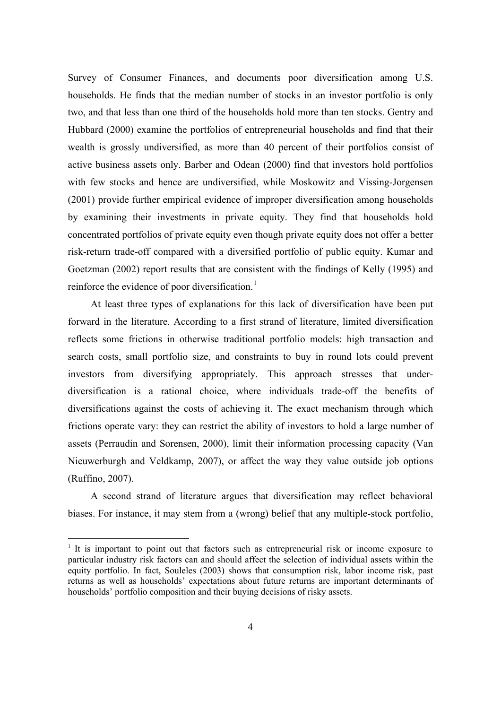Survey of Consumer Finances, and documents poor diversification among U.S. households. He finds that the median number of stocks in an investor portfolio is only two, and that less than one third of the households hold more than ten stocks. Gentry and Hubbard (2000) examine the portfolios of entrepreneurial households and find that their wealth is grossly undiversified, as more than 40 percent of their portfolios consist of active business assets only. Barber and Odean (2000) find that investors hold portfolios with few stocks and hence are undiversified, while Moskowitz and Vissing-Jorgensen (2001) provide further empirical evidence of improper diversification among households by examining their investments in private equity. They find that households hold concentrated portfolios of private equity even though private equity does not offer a better risk-return trade-off compared with a diversified portfolio of public equity. Kumar and Goetzman (2002) report results that are consistent with the findings of Kelly (1995) and reinforce the evidence of poor diversification.<sup>[1](#page-8-0)</sup>

At least three types of explanations for this lack of diversification have been put forward in the literature. According to a first strand of literature, limited diversification reflects some frictions in otherwise traditional portfolio models: high transaction and search costs, small portfolio size, and constraints to buy in round lots could prevent investors from diversifying appropriately. This approach stresses that underdiversification is a rational choice, where individuals trade-off the benefits of diversifications against the costs of achieving it. The exact mechanism through which frictions operate vary: they can restrict the ability of investors to hold a large number of assets (Perraudin and Sorensen, 2000), limit their information processing capacity (Van Nieuwerburgh and Veldkamp, 2007), or affect the way they value outside job options (Ruffino, 2007).

A second strand of literature argues that diversification may reflect behavioral biases. For instance, it may stem from a (wrong) belief that any multiple-stock portfolio,

 $\overline{a}$ 

<span id="page-8-0"></span> $1$  It is important to point out that factors such as entrepreneurial risk or income exposure to particular industry risk factors can and should affect the selection of individual assets within the equity portfolio. In fact, Souleles (2003) shows that consumption risk, labor income risk, past returns as well as households' expectations about future returns are important determinants of households' portfolio composition and their buying decisions of risky assets.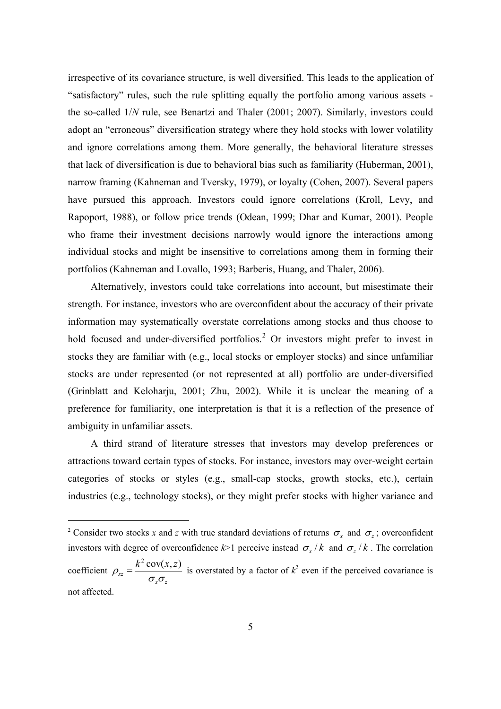irrespective of its covariance structure, is well diversified. This leads to the application of "satisfactory" rules, such the rule splitting equally the portfolio among various assets the so-called 1/*N* rule, see Benartzi and Thaler (2001; 2007). Similarly, investors could adopt an "erroneous" diversification strategy where they hold stocks with lower volatility and ignore correlations among them. More generally, the behavioral literature stresses that lack of diversification is due to behavioral bias such as familiarity (Huberman, 2001), narrow framing (Kahneman and Tversky, 1979), or loyalty (Cohen, 2007). Several papers have pursued this approach. Investors could ignore correlations (Kroll, Levy, and Rapoport, 1988), or follow price trends (Odean, 1999; Dhar and Kumar, 2001). People who frame their investment decisions narrowly would ignore the interactions among individual stocks and might be insensitive to correlations among them in forming their portfolios (Kahneman and Lovallo, 1993; Barberis, Huang, and Thaler, 2006).

Alternatively, investors could take correlations into account, but misestimate their strength. For instance, investors who are overconfident about the accuracy of their private information may systematically overstate correlations among stocks and thus choose to hold focused and under-diversified portfolios.<sup>[2](#page-9-0)</sup> Or investors might prefer to invest in stocks they are familiar with (e.g., local stocks or employer stocks) and since unfamiliar stocks are under represented (or not represented at all) portfolio are under-diversified (Grinblatt and Keloharju, 2001; Zhu, 2002). While it is unclear the meaning of a preference for familiarity, one interpretation is that it is a reflection of the presence of ambiguity in unfamiliar assets.

A third strand of literature stresses that investors may develop preferences or attractions toward certain types of stocks. For instance, investors may over-weight certain categories of stocks or styles (e.g., small-cap stocks, growth stocks, etc.), certain industries (e.g., technology stocks), or they might prefer stocks with higher variance and

 $\overline{a}$ 

<span id="page-9-0"></span><sup>&</sup>lt;sup>2</sup> Consider two stocks *x* and *z* with true standard deviations of returns  $\sigma_x$  and  $\sigma_z$ ; overconfident investors with degree of overconfidence  $k$  = 1 perceive instead  $\sigma_x / k$  and  $\sigma_z / k$ . The correlation coefficient  $\rho_{rr} = \frac{k^2 \text{ cov}(x, z)}{2}$ *xz*  $x^{\boldsymbol{\cup}} z$  $\rho_{xz} = \frac{k^2 \text{ cov}(x, z)}{\sigma_z \sigma_z}$  is overstated by a factor of  $k^2$  even if the perceived covariance is not affected.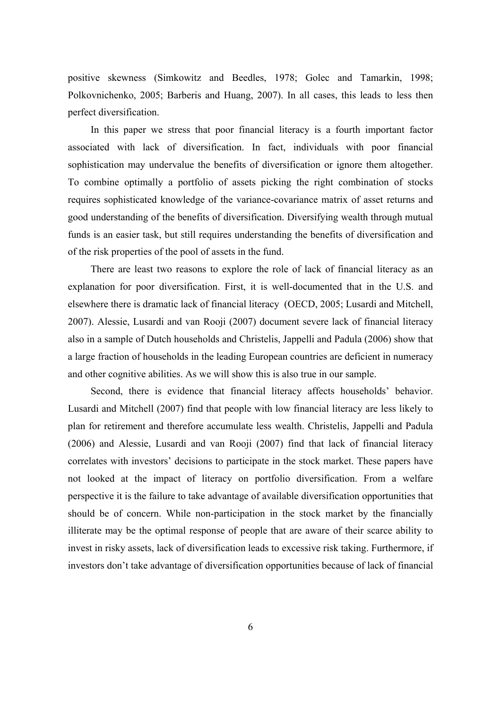positive skewness (Simkowitz and Beedles, 1978; Golec and Tamarkin, 1998; Polkovnichenko, 2005; Barberis and Huang, 2007). In all cases, this leads to less then perfect diversification.

In this paper we stress that poor financial literacy is a fourth important factor associated with lack of diversification. In fact, individuals with poor financial sophistication may undervalue the benefits of diversification or ignore them altogether. To combine optimally a portfolio of assets picking the right combination of stocks requires sophisticated knowledge of the variance-covariance matrix of asset returns and good understanding of the benefits of diversification. Diversifying wealth through mutual funds is an easier task, but still requires understanding the benefits of diversification and of the risk properties of the pool of assets in the fund.

There are least two reasons to explore the role of lack of financial literacy as an explanation for poor diversification. First, it is well-documented that in the U.S. and elsewhere there is dramatic lack of financial literacy (OECD, 2005; Lusardi and Mitchell, 2007). Alessie, Lusardi and van Rooji (2007) document severe lack of financial literacy also in a sample of Dutch households and Christelis, Jappelli and Padula (2006) show that a large fraction of households in the leading European countries are deficient in numeracy and other cognitive abilities. As we will show this is also true in our sample.

Second, there is evidence that financial literacy affects households' behavior. Lusardi and Mitchell (2007) find that people with low financial literacy are less likely to plan for retirement and therefore accumulate less wealth. Christelis, Jappelli and Padula (2006) and Alessie, Lusardi and van Rooji (2007) find that lack of financial literacy correlates with investors' decisions to participate in the stock market. These papers have not looked at the impact of literacy on portfolio diversification. From a welfare perspective it is the failure to take advantage of available diversification opportunities that should be of concern. While non-participation in the stock market by the financially illiterate may be the optimal response of people that are aware of their scarce ability to invest in risky assets, lack of diversification leads to excessive risk taking. Furthermore, if investors don't take advantage of diversification opportunities because of lack of financial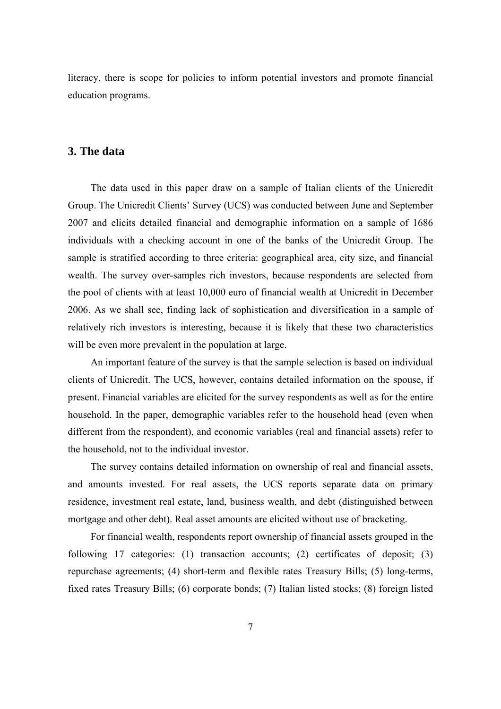<span id="page-11-0"></span>literacy, there is scope for policies to inform potential investors and promote financial education programs.

#### **3. The data**

The data used in this paper draw on a sample of Italian clients of the Unicredit Group. The Unicredit Clients' Survey (UCS) was conducted between June and September 2007 and elicits detailed financial and demographic information on a sample of 1686 individuals with a checking account in one of the banks of the Unicredit Group. The sample is stratified according to three criteria: geographical area, city size, and financial wealth. The survey over-samples rich investors, because respondents are selected from the pool of clients with at least 10,000 euro of financial wealth at Unicredit in December 2006. As we shall see, finding lack of sophistication and diversification in a sample of relatively rich investors is interesting, because it is likely that these two characteristics will be even more prevalent in the population at large.

An important feature of the survey is that the sample selection is based on individual clients of Unicredit. The UCS, however, contains detailed information on the spouse, if present. Financial variables are elicited for the survey respondents as well as for the entire household. In the paper, demographic variables refer to the household head (even when different from the respondent), and economic variables (real and financial assets) refer to the household, not to the individual investor.

The survey contains detailed information on ownership of real and financial assets, and amounts invested. For real assets, the UCS reports separate data on primary residence, investment real estate, land, business wealth, and debt (distinguished between mortgage and other debt). Real asset amounts are elicited without use of bracketing.

For financial wealth, respondents report ownership of financial assets grouped in the following 17 categories: (1) transaction accounts; (2) certificates of deposit; (3) repurchase agreements; (4) short-term and flexible rates Treasury Bills; (5) long-terms, fixed rates Treasury Bills; (6) corporate bonds; (7) Italian listed stocks; (8) foreign listed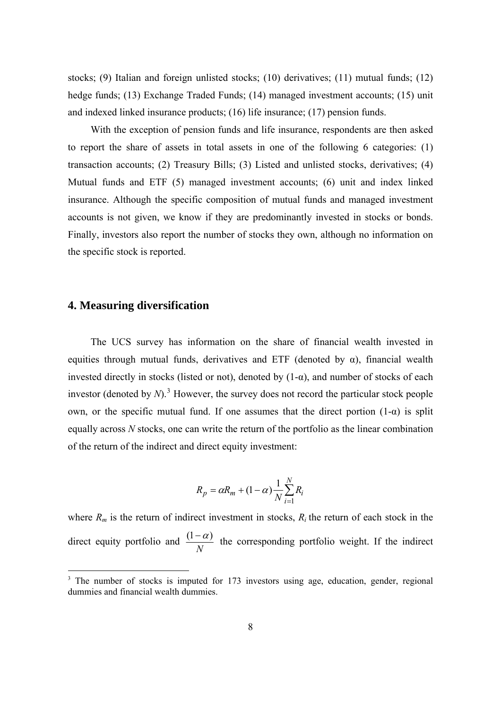<span id="page-12-0"></span>stocks; (9) Italian and foreign unlisted stocks; (10) derivatives; (11) mutual funds; (12) hedge funds; (13) Exchange Traded Funds; (14) managed investment accounts; (15) unit and indexed linked insurance products; (16) life insurance; (17) pension funds.

With the exception of pension funds and life insurance, respondents are then asked to report the share of assets in total assets in one of the following 6 categories: (1) transaction accounts; (2) Treasury Bills; (3) Listed and unlisted stocks, derivatives; (4) Mutual funds and ETF (5) managed investment accounts; (6) unit and index linked insurance. Although the specific composition of mutual funds and managed investment accounts is not given, we know if they are predominantly invested in stocks or bonds. Finally, investors also report the number of stocks they own, although no information on the specific stock is reported.

#### **4. Measuring diversification**

 $\overline{a}$ 

The UCS survey has information on the share of financial wealth invested in equities through mutual funds, derivatives and ETF (denoted by  $\alpha$ ), financial wealth invested directly in stocks (listed or not), denoted by  $(1-\alpha)$ , and number of stocks of each investor (denoted by  $N$ ).<sup>[3](#page-12-1)</sup> However, the survey does not record the particular stock people own, or the specific mutual fund. If one assumes that the direct portion  $(1-\alpha)$  is split equally across *N* stocks, one can write the return of the portfolio as the linear combination of the return of the indirect and direct equity investment:

$$
R_p = \alpha R_m + (1 - \alpha) \frac{1}{N} \sum_{i=1}^{N} R_i
$$

where  $R_m$  is the return of indirect investment in stocks,  $R_i$  the return of each stock in the direct equity portfolio and  $\frac{(1-\alpha)}{N}$  the corresponding portfolio weight. If the indirect

<span id="page-12-1"></span><sup>&</sup>lt;sup>3</sup> The number of stocks is imputed for 173 investors using age, education, gender, regional dummies and financial wealth dummies.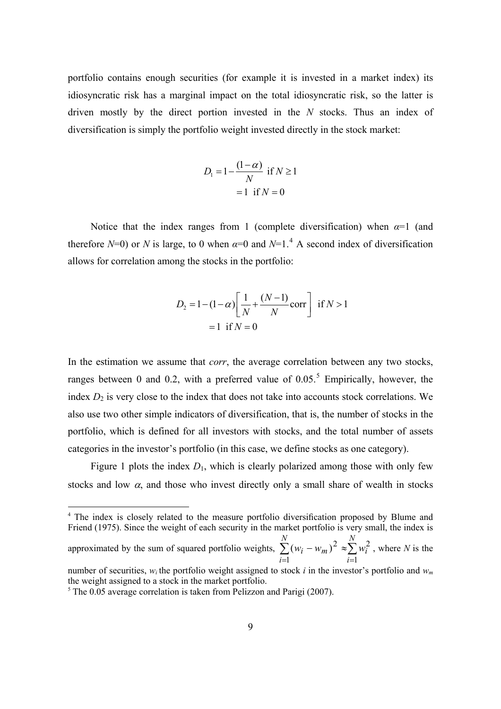portfolio contains enough securities (for example it is invested in a market index) its idiosyncratic risk has a marginal impact on the total idiosyncratic risk, so the latter is driven mostly by the direct portion invested in the *N* stocks. Thus an index of diversification is simply the portfolio weight invested directly in the stock market:

$$
D_1 = 1 - \frac{(1 - \alpha)}{N} \text{ if } N \ge 1
$$

$$
= 1 \text{ if } N = 0
$$

Notice that the index ranges from 1 (complete diversification) when  $\alpha=1$  (and therefore  $N=0$ ) or  $N$  is large, to 0 when  $\alpha=0$  and  $N=1$ .<sup>[4](#page-13-0)</sup> A second index of diversification allows for correlation among the stocks in the portfolio:

$$
D_2 = 1 - (1 - \alpha) \left[ \frac{1}{N} + \frac{(N - 1)}{N} \text{corr} \right] \text{ if } N > 1
$$
  
= 1 if  $N = 0$ 

In the estimation we assume that *corr*, the average correlation between any two stocks, ranges between 0 and 0.2, with a preferred value of  $0.05$  $0.05$ <sup>5</sup>. Empirically, however, the index  $D_2$  is very close to the index that does not take into accounts stock correlations. We also use two other simple indicators of diversification, that is, the number of stocks in the portfolio, which is defined for all investors with stocks, and the total number of assets categories in the investor's portfolio (in this case, we define stocks as one category).

Figure 1 plots the index  $D_1$ , which is clearly polarized among those with only few stocks and low  $\alpha$ , and those who invest directly only a small share of wealth in stocks

 $\overline{a}$ 

<sup>&</sup>lt;sup>4</sup> The index is closely related to the measure portfolio diversification proposed by Blume and Friend (1975). Since the weight of each security in the market portfolio is very small, the index is approximated by the sum of squared portfolio weights,  $\sum (w_i - w_m)^2 \approx \sum w_i^2$ , where *N* is the  $=$ 1  $i=$  $-w_m)^2 \approx$ *N i i N i*  $w_i - w_m$ <sup>2</sup>  $\approx \sum w_i$ 1 2 1  $(w_i - w_m)^2$ 

<span id="page-13-0"></span>number of securities,  $w_i$  the portfolio weight assigned to stock *i* in the investor's portfolio and  $w_m$ the weight assigned to a stock in the market portfolio.

<span id="page-13-1"></span> $5$  The 0.05 average correlation is taken from Pelizzon and Parigi (2007).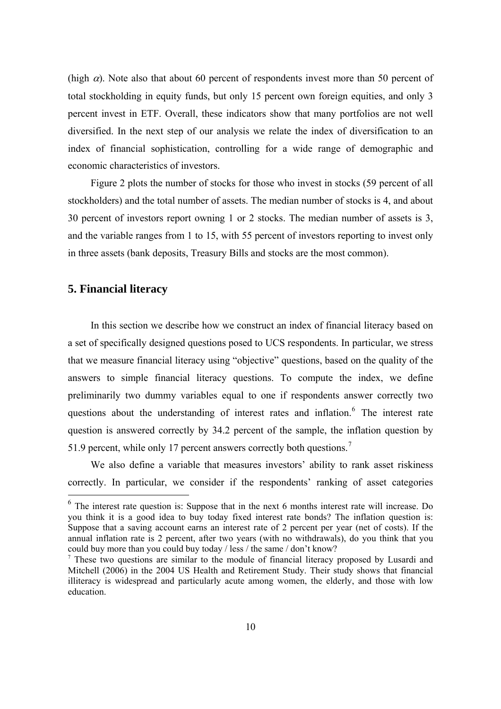<span id="page-14-0"></span>(high  $\alpha$ ). Note also that about 60 percent of respondents invest more than 50 percent of total stockholding in equity funds, but only 15 percent own foreign equities, and only 3 percent invest in ETF. Overall, these indicators show that many portfolios are not well diversified. In the next step of our analysis we relate the index of diversification to an index of financial sophistication, controlling for a wide range of demographic and economic characteristics of investors.

Figure 2 plots the number of stocks for those who invest in stocks (59 percent of all stockholders) and the total number of assets. The median number of stocks is 4, and about 30 percent of investors report owning 1 or 2 stocks. The median number of assets is 3, and the variable ranges from 1 to 15, with 55 percent of investors reporting to invest only in three assets (bank deposits, Treasury Bills and stocks are the most common).

#### **5. Financial literacy**

 $\overline{a}$ 

In this section we describe how we construct an index of financial literacy based on a set of specifically designed questions posed to UCS respondents. In particular, we stress that we measure financial literacy using "objective" questions, based on the quality of the answers to simple financial literacy questions. To compute the index, we define preliminarily two dummy variables equal to one if respondents answer correctly two questions about the understanding of interest rates and inflation.<sup>[6](#page-14-1)</sup> The interest rate question is answered correctly by 34.2 percent of the sample, the inflation question by 51.9 percent, while only 1[7](#page-14-2) percent answers correctly both questions.<sup>7</sup>

We also define a variable that measures investors' ability to rank asset riskiness correctly. In particular, we consider if the respondents' ranking of asset categories

<sup>6</sup> The interest rate question is: Suppose that in the next 6 months interest rate will increase. Do you think it is a good idea to buy today fixed interest rate bonds? The inflation question is: Suppose that a saving account earns an interest rate of 2 percent per year (net of costs). If the annual inflation rate is 2 percent, after two years (with no withdrawals), do you think that you could buy more than you could buy today / less / the same / don't know?

<span id="page-14-2"></span><span id="page-14-1"></span><sup>&</sup>lt;sup>7</sup> These two questions are similar to the module of financial literacy proposed by Lusardi and Mitchell (2006) in the 2004 US Health and Retirement Study. Their study shows that financial illiteracy is widespread and particularly acute among women, the elderly, and those with low education.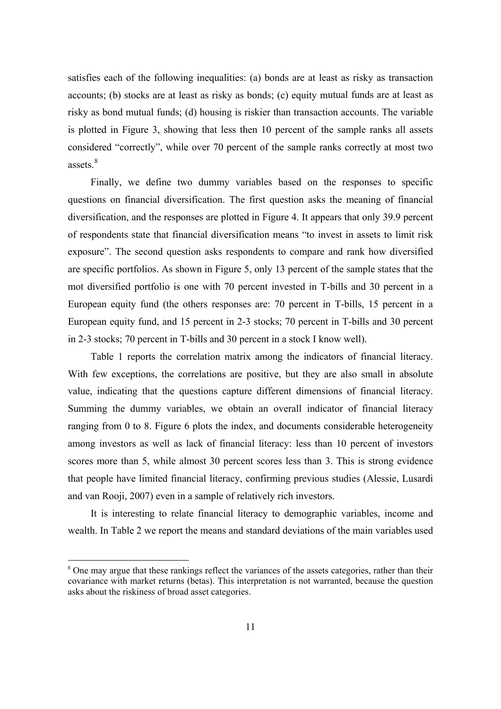satisfies each of the following inequalities: (a) bonds are at least as risky as transaction accounts; (b) stocks are at least as risky as bonds; (c) equity mutual funds are at least as risky as bond mutual funds; (d) housing is riskier than transaction accounts. The variable is plotted in Figure 3, showing that less then 10 percent of the sample ranks all assets considered "correctly", while over 70 percent of the sample ranks correctly at most two assets.<sup>[8](#page-15-0)</sup>

Finally, we define two dummy variables based on the responses to specific questions on financial diversification. The first question asks the meaning of financial diversification, and the responses are plotted in Figure 4. It appears that only 39.9 percent of respondents state that financial diversification means "to invest in assets to limit risk exposure". The second question asks respondents to compare and rank how diversified are specific portfolios. As shown in Figure 5, only 13 percent of the sample states that the mot diversified portfolio is one with 70 percent invested in T-bills and 30 percent in a European equity fund (the others responses are: 70 percent in T-bills, 15 percent in a European equity fund, and 15 percent in 2-3 stocks; 70 percent in T-bills and 30 percent in 2-3 stocks; 70 percent in T-bills and 30 percent in a stock I know well).

Table 1 reports the correlation matrix among the indicators of financial literacy. With few exceptions, the correlations are positive, but they are also small in absolute value, indicating that the questions capture different dimensions of financial literacy. Summing the dummy variables, we obtain an overall indicator of financial literacy ranging from 0 to 8. Figure 6 plots the index, and documents considerable heterogeneity among investors as well as lack of financial literacy: less than 10 percent of investors scores more than 5, while almost 30 percent scores less than 3. This is strong evidence that people have limited financial literacy, confirming previous studies (Alessie, Lusardi and van Rooji, 2007) even in a sample of relatively rich investors.

It is interesting to relate financial literacy to demographic variables, income and wealth. In Table 2 we report the means and standard deviations of the main variables used

 $\overline{a}$ 

<span id="page-15-0"></span><sup>&</sup>lt;sup>8</sup> One may argue that these rankings reflect the variances of the assets categories, rather than their covariance with market returns (betas). This interpretation is not warranted, because the question asks about the riskiness of broad asset categories.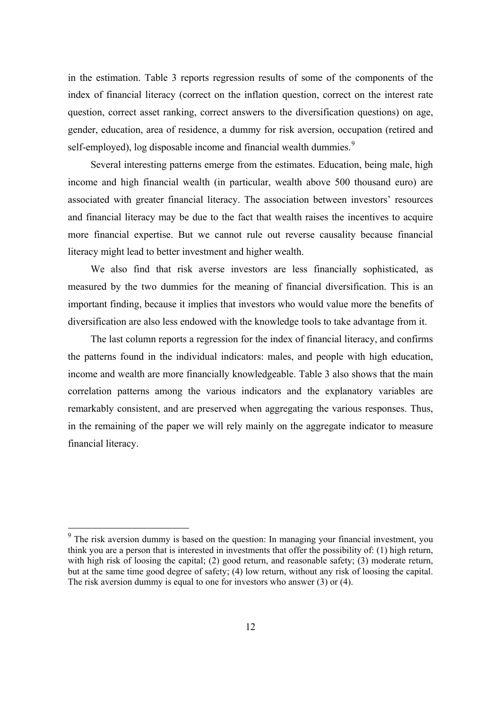in the estimation. Table 3 reports regression results of some of the components of the index of financial literacy (correct on the inflation question, correct on the interest rate question, correct asset ranking, correct answers to the diversification questions) on age, gender, education, area of residence, a dummy for risk aversion, occupation (retired and self-employed), log disposable income and financial wealth dummies.<sup>[9](#page-16-0)</sup>

Several interesting patterns emerge from the estimates. Education, being male, high income and high financial wealth (in particular, wealth above 500 thousand euro) are associated with greater financial literacy. The association between investors' resources and financial literacy may be due to the fact that wealth raises the incentives to acquire more financial expertise. But we cannot rule out reverse causality because financial literacy might lead to better investment and higher wealth.

We also find that risk averse investors are less financially sophisticated, as measured by the two dummies for the meaning of financial diversification. This is an important finding, because it implies that investors who would value more the benefits of diversification are also less endowed with the knowledge tools to take advantage from it.

The last column reports a regression for the index of financial literacy, and confirms the patterns found in the individual indicators: males, and people with high education, income and wealth are more financially knowledgeable. Table 3 also shows that the main correlation patterns among the various indicators and the explanatory variables are remarkably consistent, and are preserved when aggregating the various responses. Thus, in the remaining of the paper we will rely mainly on the aggregate indicator to measure financial literacy.

<span id="page-16-0"></span> $9<sup>9</sup>$  The risk aversion dummy is based on the question: In managing your financial investment, you think you are a person that is interested in investments that offer the possibility of: (1) high return, with high risk of loosing the capital; (2) good return, and reasonable safety; (3) moderate return, but at the same time good degree of safety; (4) low return, without any risk of loosing the capital. The risk aversion dummy is equal to one for investors who answer (3) or (4).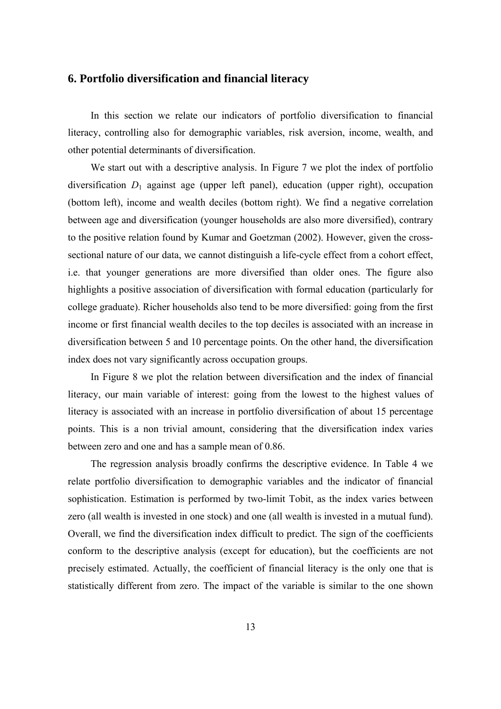### <span id="page-17-0"></span>**6. Portfolio diversification and financial literacy**

In this section we relate our indicators of portfolio diversification to financial literacy, controlling also for demographic variables, risk aversion, income, wealth, and other potential determinants of diversification.

We start out with a descriptive analysis. In Figure 7 we plot the index of portfolio diversification  $D_1$  against age (upper left panel), education (upper right), occupation (bottom left), income and wealth deciles (bottom right). We find a negative correlation between age and diversification (younger households are also more diversified), contrary to the positive relation found by Kumar and Goetzman (2002). However, given the crosssectional nature of our data, we cannot distinguish a life-cycle effect from a cohort effect, i.e. that younger generations are more diversified than older ones. The figure also highlights a positive association of diversification with formal education (particularly for college graduate). Richer households also tend to be more diversified: going from the first income or first financial wealth deciles to the top deciles is associated with an increase in diversification between 5 and 10 percentage points. On the other hand, the diversification index does not vary significantly across occupation groups.

In Figure 8 we plot the relation between diversification and the index of financial literacy, our main variable of interest: going from the lowest to the highest values of literacy is associated with an increase in portfolio diversification of about 15 percentage points. This is a non trivial amount, considering that the diversification index varies between zero and one and has a sample mean of 0.86.

The regression analysis broadly confirms the descriptive evidence. In Table 4 we relate portfolio diversification to demographic variables and the indicator of financial sophistication. Estimation is performed by two-limit Tobit, as the index varies between zero (all wealth is invested in one stock) and one (all wealth is invested in a mutual fund). Overall, we find the diversification index difficult to predict. The sign of the coefficients conform to the descriptive analysis (except for education), but the coefficients are not precisely estimated. Actually, the coefficient of financial literacy is the only one that is statistically different from zero. The impact of the variable is similar to the one shown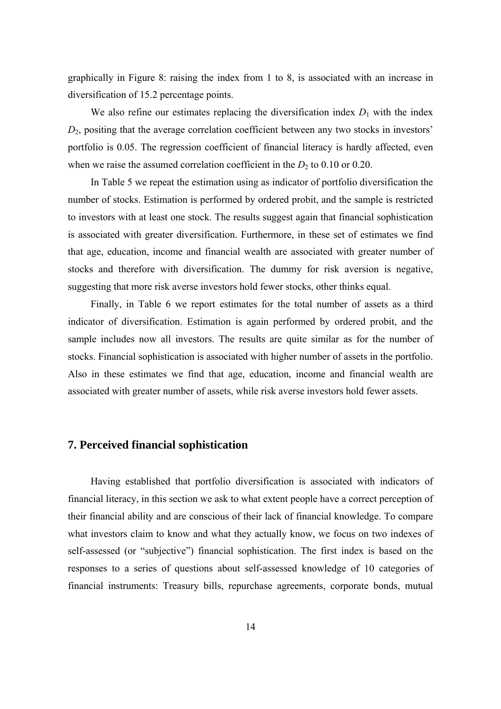<span id="page-18-0"></span>graphically in Figure 8: raising the index from 1 to 8, is associated with an increase in diversification of 15.2 percentage points.

We also refine our estimates replacing the diversification index  $D_1$  with the index *D*2, positing that the average correlation coefficient between any two stocks in investors' portfolio is 0.05. The regression coefficient of financial literacy is hardly affected, even when we raise the assumed correlation coefficient in the  $D_2$  to 0.10 or 0.20.

In Table 5 we repeat the estimation using as indicator of portfolio diversification the number of stocks. Estimation is performed by ordered probit, and the sample is restricted to investors with at least one stock. The results suggest again that financial sophistication is associated with greater diversification. Furthermore, in these set of estimates we find that age, education, income and financial wealth are associated with greater number of stocks and therefore with diversification. The dummy for risk aversion is negative, suggesting that more risk averse investors hold fewer stocks, other thinks equal.

Finally, in Table 6 we report estimates for the total number of assets as a third indicator of diversification. Estimation is again performed by ordered probit, and the sample includes now all investors. The results are quite similar as for the number of stocks. Financial sophistication is associated with higher number of assets in the portfolio. Also in these estimates we find that age, education, income and financial wealth are associated with greater number of assets, while risk averse investors hold fewer assets.

### **7. Perceived financial sophistication**

Having established that portfolio diversification is associated with indicators of financial literacy, in this section we ask to what extent people have a correct perception of their financial ability and are conscious of their lack of financial knowledge. To compare what investors claim to know and what they actually know, we focus on two indexes of self-assessed (or "subjective") financial sophistication. The first index is based on the responses to a series of questions about self-assessed knowledge of 10 categories of financial instruments: Treasury bills, repurchase agreements, corporate bonds, mutual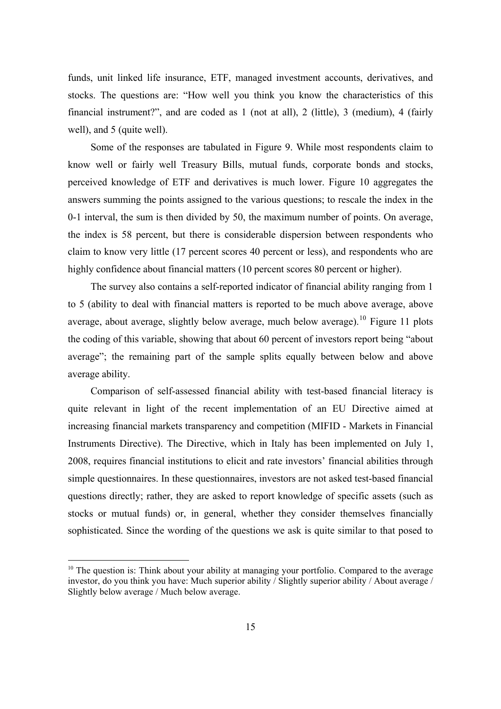funds, unit linked life insurance, ETF, managed investment accounts, derivatives, and stocks. The questions are: "How well you think you know the characteristics of this financial instrument?", and are coded as 1 (not at all), 2 (little), 3 (medium), 4 (fairly well), and 5 (quite well).

Some of the responses are tabulated in Figure 9. While most respondents claim to know well or fairly well Treasury Bills, mutual funds, corporate bonds and stocks, perceived knowledge of ETF and derivatives is much lower. Figure 10 aggregates the answers summing the points assigned to the various questions; to rescale the index in the 0-1 interval, the sum is then divided by 50, the maximum number of points. On average, the index is 58 percent, but there is considerable dispersion between respondents who claim to know very little (17 percent scores 40 percent or less), and respondents who are highly confidence about financial matters (10 percent scores 80 percent or higher).

The survey also contains a self-reported indicator of financial ability ranging from 1 to 5 (ability to deal with financial matters is reported to be much above average, above average, about average, slightly below average, much below average).<sup>[10](#page-19-0)</sup> Figure 11 plots the coding of this variable, showing that about 60 percent of investors report being "about average"; the remaining part of the sample splits equally between below and above average ability.

Comparison of self-assessed financial ability with test-based financial literacy is quite relevant in light of the recent implementation of an EU Directive aimed at increasing financial markets transparency and competition (MIFID - Markets in Financial Instruments Directive). The Directive, which in Italy has been implemented on July 1, 2008, requires financial institutions to elicit and rate investors' financial abilities through simple questionnaires. In these questionnaires, investors are not asked test-based financial questions directly; rather, they are asked to report knowledge of specific assets (such as stocks or mutual funds) or, in general, whether they consider themselves financially sophisticated. Since the wording of the questions we ask is quite similar to that posed to

 $\overline{a}$ 

<span id="page-19-0"></span><sup>&</sup>lt;sup>10</sup> The question is: Think about your ability at managing your portfolio. Compared to the average investor, do you think you have: Much superior ability / Slightly superior ability / About average / Slightly below average / Much below average.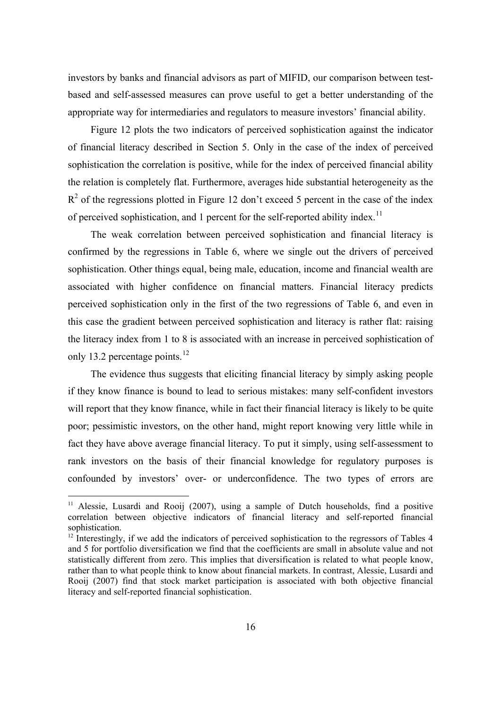investors by banks and financial advisors as part of MIFID, our comparison between testbased and self-assessed measures can prove useful to get a better understanding of the appropriate way for intermediaries and regulators to measure investors' financial ability.

Figure 12 plots the two indicators of perceived sophistication against the indicator of financial literacy described in Section 5. Only in the case of the index of perceived sophistication the correlation is positive, while for the index of perceived financial ability the relation is completely flat. Furthermore, averages hide substantial heterogeneity as the  $R<sup>2</sup>$  of the regressions plotted in Figure 12 don't exceed 5 percent in the case of the index of perceived sophistication, and 1 percent for the self-reported ability index.<sup>[11](#page-20-0)</sup>

The weak correlation between perceived sophistication and financial literacy is confirmed by the regressions in Table 6, where we single out the drivers of perceived sophistication. Other things equal, being male, education, income and financial wealth are associated with higher confidence on financial matters. Financial literacy predicts perceived sophistication only in the first of the two regressions of Table 6, and even in this case the gradient between perceived sophistication and literacy is rather flat: raising the literacy index from 1 to 8 is associated with an increase in perceived sophistication of only 13.2 percentage points.<sup>[12](#page-20-1)</sup>

The evidence thus suggests that eliciting financial literacy by simply asking people if they know finance is bound to lead to serious mistakes: many self-confident investors will report that they know finance, while in fact their financial literacy is likely to be quite poor; pessimistic investors, on the other hand, might report knowing very little while in fact they have above average financial literacy. To put it simply, using self-assessment to rank investors on the basis of their financial knowledge for regulatory purposes is confounded by investors' over- or underconfidence. The two types of errors are

 $\overline{a}$ 

<sup>&</sup>lt;sup>11</sup> Alessie, Lusardi and Rooij (2007), using a sample of Dutch households, find a positive correlation between objective indicators of financial literacy and self-reported financial sophistication.

<span id="page-20-1"></span><span id="page-20-0"></span> $12$  Interestingly, if we add the indicators of perceived sophistication to the regressors of Tables 4 and 5 for portfolio diversification we find that the coefficients are small in absolute value and not statistically different from zero. This implies that diversification is related to what people know, rather than to what people think to know about financial markets. In contrast, Alessie, Lusardi and Rooij (2007) find that stock market participation is associated with both objective financial literacy and self-reported financial sophistication.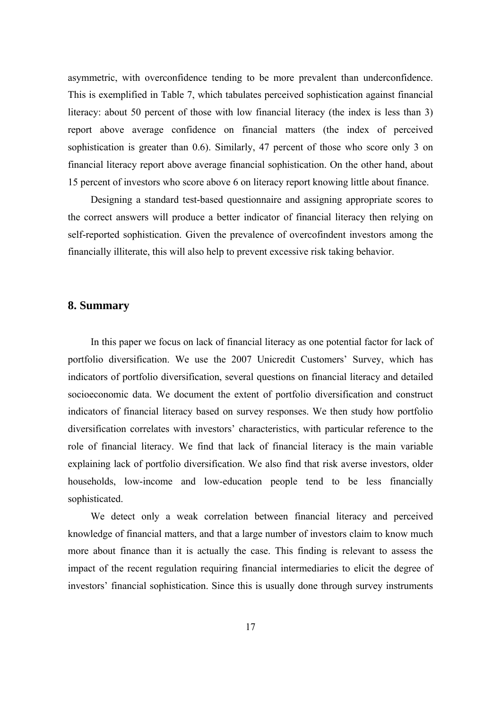<span id="page-21-0"></span>asymmetric, with overconfidence tending to be more prevalent than underconfidence. This is exemplified in Table 7, which tabulates perceived sophistication against financial literacy: about 50 percent of those with low financial literacy (the index is less than 3) report above average confidence on financial matters (the index of perceived sophistication is greater than 0.6). Similarly, 47 percent of those who score only 3 on financial literacy report above average financial sophistication. On the other hand, about 15 percent of investors who score above 6 on literacy report knowing little about finance.

Designing a standard test-based questionnaire and assigning appropriate scores to the correct answers will produce a better indicator of financial literacy then relying on self-reported sophistication. Given the prevalence of overcofindent investors among the financially illiterate, this will also help to prevent excessive risk taking behavior.

#### **8. Summary**

In this paper we focus on lack of financial literacy as one potential factor for lack of portfolio diversification. We use the 2007 Unicredit Customers' Survey, which has indicators of portfolio diversification, several questions on financial literacy and detailed socioeconomic data. We document the extent of portfolio diversification and construct indicators of financial literacy based on survey responses. We then study how portfolio diversification correlates with investors' characteristics, with particular reference to the role of financial literacy. We find that lack of financial literacy is the main variable explaining lack of portfolio diversification. We also find that risk averse investors, older households, low-income and low-education people tend to be less financially sophisticated.

We detect only a weak correlation between financial literacy and perceived knowledge of financial matters, and that a large number of investors claim to know much more about finance than it is actually the case. This finding is relevant to assess the impact of the recent regulation requiring financial intermediaries to elicit the degree of investors' financial sophistication. Since this is usually done through survey instruments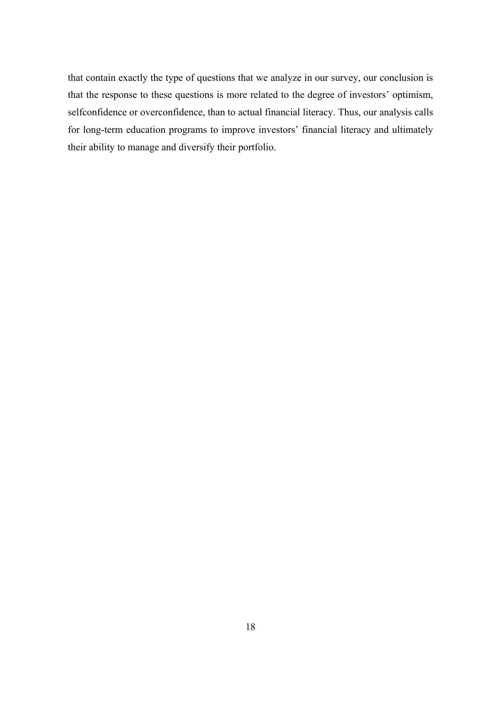that contain exactly the type of questions that we analyze in our survey, our conclusion is that the response to these questions is more related to the degree of investors' optimism, selfconfidence or overconfidence, than to actual financial literacy. Thus, our analysis calls for long-term education programs to improve investors' financial literacy and ultimately their ability to manage and diversify their portfolio.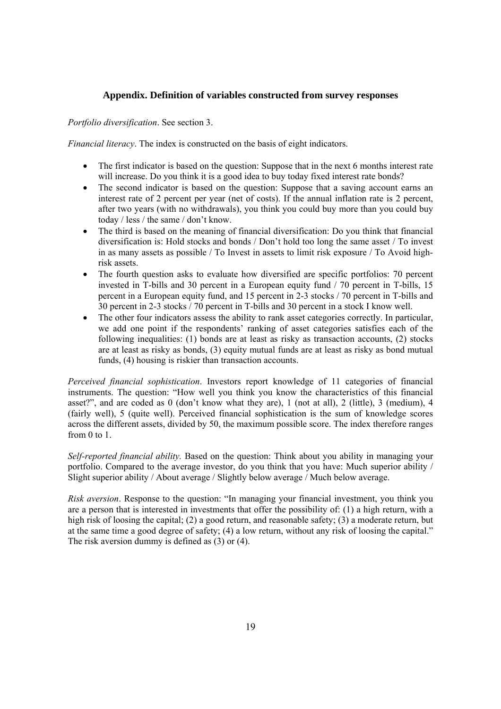#### **Appendix. Definition of variables constructed from survey responses**

<span id="page-23-0"></span>*Portfolio diversification*. See section 3.

*Financial literacy*. The index is constructed on the basis of eight indicators.

- The first indicator is based on the question: Suppose that in the next 6 months interest rate will increase. Do you think it is a good idea to buy today fixed interest rate bonds?
- The second indicator is based on the question: Suppose that a saving account earns an interest rate of 2 percent per year (net of costs). If the annual inflation rate is 2 percent, after two years (with no withdrawals), you think you could buy more than you could buy today / less / the same / don't know.
- The third is based on the meaning of financial diversification: Do you think that financial diversification is: Hold stocks and bonds / Don't hold too long the same asset / To invest in as many assets as possible / To Invest in assets to limit risk exposure / To Avoid highrisk assets.
- The fourth question asks to evaluate how diversified are specific portfolios: 70 percent invested in T-bills and 30 percent in a European equity fund / 70 percent in T-bills, 15 percent in a European equity fund, and 15 percent in 2-3 stocks / 70 percent in T-bills and 30 percent in 2-3 stocks / 70 percent in T-bills and 30 percent in a stock I know well.
- The other four indicators assess the ability to rank asset categories correctly. In particular, we add one point if the respondents' ranking of asset categories satisfies each of the following inequalities: (1) bonds are at least as risky as transaction accounts, (2) stocks are at least as risky as bonds, (3) equity mutual funds are at least as risky as bond mutual funds, (4) housing is riskier than transaction accounts.

*Perceived financial sophistication*. Investors report knowledge of 11 categories of financial instruments. The question: "How well you think you know the characteristics of this financial asset?", and are coded as 0 (don't know what they are), 1 (not at all), 2 (little), 3 (medium), 4 (fairly well), 5 (quite well). Perceived financial sophistication is the sum of knowledge scores across the different assets, divided by 50, the maximum possible score. The index therefore ranges from 0 to 1.

*Self-reported financial ability.* Based on the question: Think about you ability in managing your portfolio. Compared to the average investor, do you think that you have: Much superior ability / Slight superior ability / About average / Slightly below average / Much below average.

*Risk aversion*. Response to the question: "In managing your financial investment, you think you are a person that is interested in investments that offer the possibility of: (1) a high return, with a high risk of loosing the capital; (2) a good return, and reasonable safety; (3) a moderate return, but at the same time a good degree of safety; (4) a low return, without any risk of loosing the capital." The risk aversion dummy is defined as (3) or (4).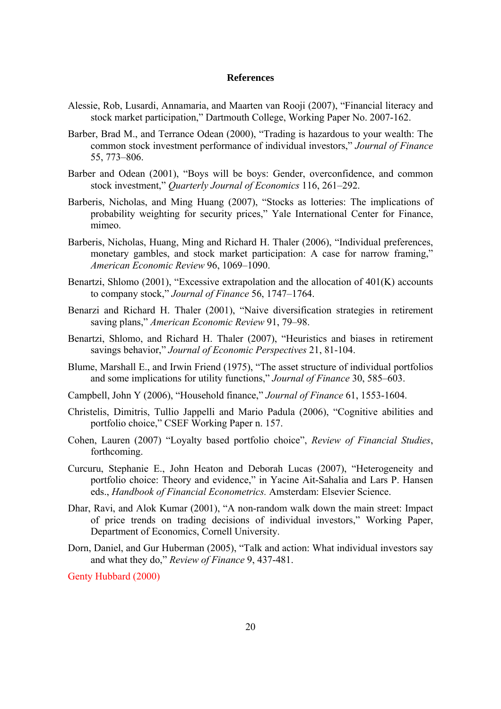#### **References**

- <span id="page-24-0"></span>Alessie, Rob, Lusardi, Annamaria, and Maarten van Rooji (2007), "[Financial literacy and](http://www.dartmouth.edu/%7Ealusardi/Papers/Literacy_StockMarket.pdf)  [stock market participation,](http://www.dartmouth.edu/%7Ealusardi/Papers/Literacy_StockMarket.pdf)" Dartmouth College, Working Paper No. 2007-162.
- Barber, Brad M., and Terrance Odean (2000), "Trading is hazardous to your wealth: The common stock investment performance of individual investors," *Journal of Finance* 55, 773–806.
- Barber and Odean (2001), "Boys will be boys: Gender, overconfidence, and common stock investment," *Quarterly Journal of Economics* 116, 261–292.
- Barberis, Nicholas, and Ming Huang (2007), "Stocks as lotteries: The implications of probability weighting for security prices," Yale International Center for Finance, mimeo.
- Barberis, Nicholas, Huang, Ming and Richard H. Thaler (2006), "Individual preferences, monetary gambles, and stock market participation: A case for narrow framing," *American Economic Review* 96, 1069–1090.
- Benartzi, Shlomo (2001), "Excessive extrapolation and the allocation of 401(K) accounts to company stock," *Journal of Finance* 56, 1747–1764.
- Benarzi and Richard H. Thaler (2001), "Naive diversification strategies in retirement saving plans," *American Economic Review* 91, 79–98.
- Benartzi, Shlomo, and Richard H. Thaler (2007), "Heuristics and biases in retirement savings behavior," *Journal of Economic Perspectives* 21, 81-104.
- Blume, Marshall E., and Irwin Friend (1975), "The asset structure of individual portfolios and some implications for utility functions," *Journal of Finance* 30, 585–603.
- Campbell, John Y (2006), "Household finance," *Journal of Finance* 61, 1553-1604.
- Christelis, Dimitris, Tullio Jappelli and Mario Padula (2006), "Cognitive abilities and portfolio choice," CSEF Working Paper n. 157.
- Cohen, Lauren (2007) "Loyalty based portfolio choice", *Review of Financial Studies*, forthcoming.
- Curcuru, Stephanie E., John Heaton and Deborah Lucas (2007), "Heterogeneity and portfolio choice: Theory and evidence," in Yacine Ait-Sahalia and Lars P. Hansen eds., *Handbook of Financial Econometrics.* Amsterdam: Elsevier Science.
- Dhar, Ravi, and Alok Kumar (2001), "A non-random walk down the main street: Impact of price trends on trading decisions of individual investors," Working Paper, Department of Economics, Cornell University.
- Dorn, Daniel, and Gur Huberman (2005), ["Talk and action: What individual investors say](http://ideas.repec.org/a/kap/eurfin/v9y2005i4p437-481.html)  [and what they do,](http://ideas.repec.org/a/kap/eurfin/v9y2005i4p437-481.html)" *[Review of Finance](http://ideas.repec.org/s/kap/eurfin.html)* 9, 437-481.

Genty Hubbard (2000)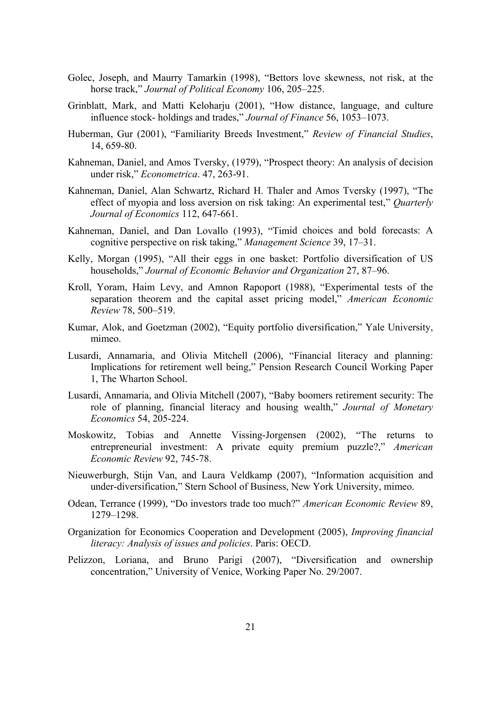- Golec, Joseph, and Maurry Tamarkin (1998), "Bettors love skewness, not risk, at the horse track," *Journal of Political Economy* 106, 205–225.
- Grinblatt, Mark, and Matti Keloharju (2001), "How distance, language, and culture influence stock- holdings and trades," *Journal of Finance* 56, 1053–1073.
- Huberman, Gur (2001), ["Familiarity Breeds Investment,](http://ideas.repec.org/a/oup/rfinst/v14y2001i3p659-80.html)" *[Review of Financial Studies](http://ideas.repec.org/s/oup/rfinst.html)*, 14, 659-80.
- Kahneman, Daniel, and Amos Tversky, (1979), ["Prospect theory: An analysis of decision](http://ideas.repec.org/a/ecm/emetrp/v47y1979i2p263-91.html)  [under risk,](http://ideas.repec.org/a/ecm/emetrp/v47y1979i2p263-91.html)" *[Econometrica](http://ideas.repec.org/s/ecm/emetrp.html)*. 47, 263-91.
- [Kahneman, Daniel, Alan Schwartz,](http://faculty.chicagogsb.edu/richard.thaler/research/research/The%20Effect%20of%20Myopia%20on%20Loss.pdf?tid=414&ttype=6) [Richard H. Thaler and Amos Tversky \(1997\), "The](http://mitpress.mit.edu/catalog/item/default.asp?tid=414&ttype=6)  [effect of myopia and loss aversion on risk taking: An experimental test,"](http://mitpress.mit.edu/catalog/item/default.asp?tid=414&ttype=6) *Quarterly [Journal of Economics](http://mitpress.mit.edu/catalog/item/default.asp?tid=414&ttype=6)* 112, 647-661.
- Kahneman, Daniel, and Dan Lovallo (1993), "Timid choices and bold forecasts: A cognitive perspective on risk taking," *Management Science* 39, 17–31.
- [Kelly, Morgan \(1995\), "All their eggs in one basket: Portfolio diversification of US](http://links.jstor.org/sici?sici=0002-8282%28199705%2987%3A2%3C439%3AIFMBE%3E2.0.CO%3B2-C&origin=repec)  households," *[Journal of Economic Behavior and Organization](http://links.jstor.org/sici?sici=0002-8282%28199705%2987%3A2%3C439%3AIFMBE%3E2.0.CO%3B2-C&origin=repec)* 27, 87–96.
- Kroll, Yoram, Haim Levy, and Amnon Rapoport (1988), "Experimental tests of the separation theorem and the capital asset pricing model," *American Economic Review* 78, 500–519.
- Kumar, Alok, and Goetzman (2002), "Equity portfolio diversification," Yale University, mimeo.
- Lusardi, Annamaria, and Olivia Mitchell (2006), "Financial literacy and planning: Implications for retirement well being," Pension Research Council Working Paper 1, The Wharton School.
- Lusardi, Annamaria, and Olivia Mitchell (2007), "Baby boomers retirement security: The role of planning, financial literacy and housing wealth," *Journal of Monetary Economics* 54, 205-224.
- Moskowitz, Tobias and Annette Vissing-Jorgensen (2002), ["The returns to](http://www.kellogg.northwestern.edu/faculty/vissing/htm/tmav_aer.pdf)  [entrepreneurial investment: A private equity premium puzzle?](http://www.kellogg.northwestern.edu/faculty/vissing/htm/tmav_aer.pdf)," *American Economic Review* 92, 745-78.
- Nieuwerburgh, Stijn Van, and Laura Veldkamp (2007), "Information acquisition and under-diversification," Stern School of Business, New York University, mimeo.
- Odean, Terrance (1999), "Do investors trade too much?" *American Economic Review* 89, 1279–1298.
- Organization for Economics Cooperation and Development (2005), *Improving financial literacy: Analysis of issues and policies*. Paris: OECD.
- Pelizzon, Loriana, and Bruno Parigi (2007), "Diversification and ownership concentration," University of Venice, Working Paper No. 29/2007.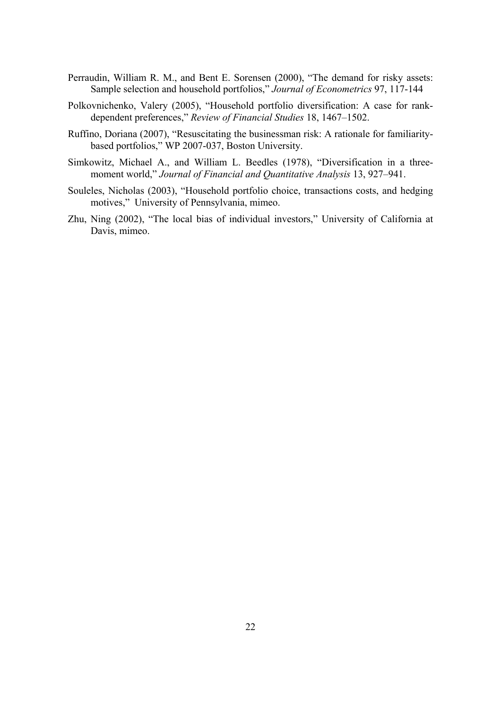- Perraudin, William R. M., and Bent E. Sorensen (2000), "The demand for risky assets: Sample selection and household portfolios," *Journal of Econometrics* 97, 117-144
- Polkovnichenko, Valery (2005), "Household portfolio diversification: A case for rankdependent preferences," *Review of Financial Studies* 18, 1467–1502.
- Ruffino, Doriana (2007), "[Resuscitating the businessman risk: A rationale for familiarity](http://ideas.repec.org/p/bos/wpaper/wp2007-037.html)[based portfolios,](http://ideas.repec.org/p/bos/wpaper/wp2007-037.html)" WP 2007-037, Boston University.
- Simkowitz, Michael A., and William L. Beedles (1978), "Diversification in a threemoment world," *Journal of Financial and Quantitative Analysis* 13, 927–941.
- Souleles, Nicholas (2003), "Household portfolio choice, transactions costs, and hedging motives," University of Pennsylvania, mimeo.
- Zhu, Ning (2002), "The local bias of individual investors," University of California at Davis, mimeo.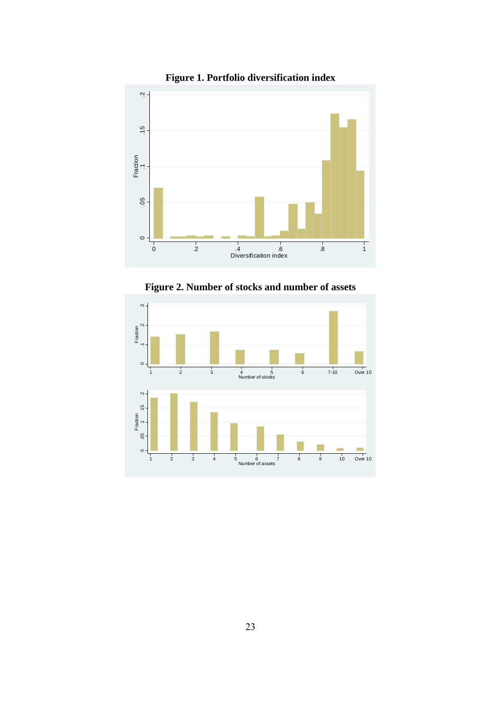

**Figure 1. Portfolio diversification index** 



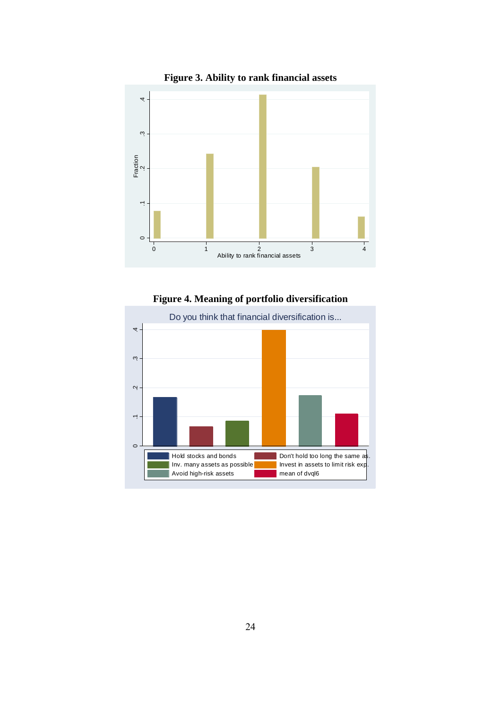

**Figure 3. Ability to rank financial assets** 

**Figure 4. Meaning of portfolio diversification** 

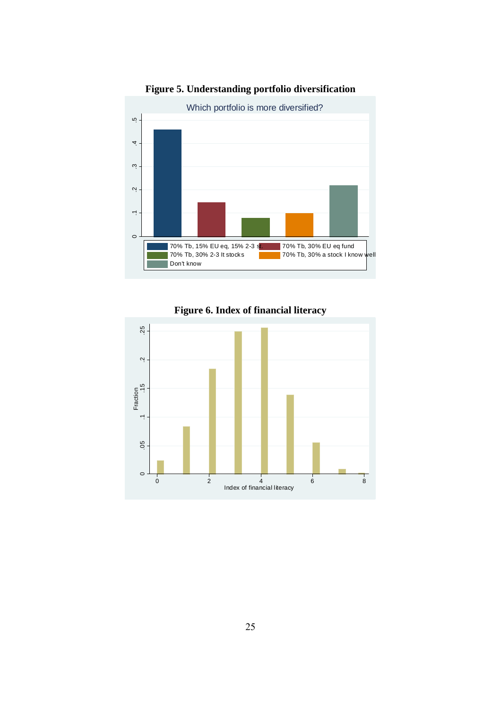

# **Figure 5. Understanding portfolio diversification**



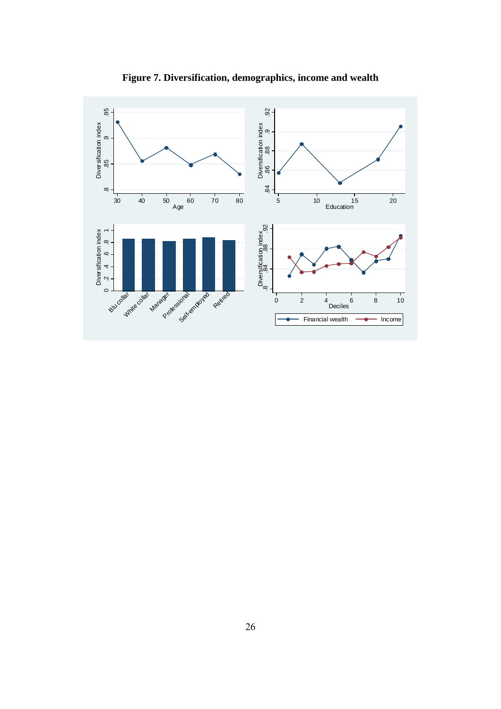

**Figure 7. Diversification, demographics, income and wealth**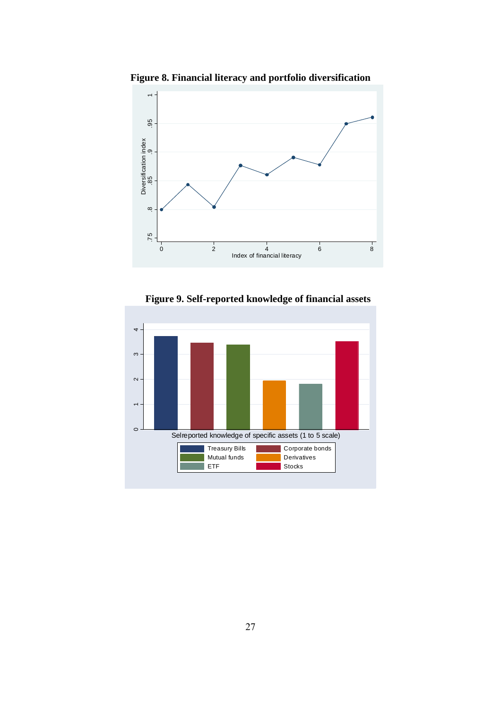

**Figure 8. Financial literacy and portfolio diversification** 

**Figure 9. Self-reported knowledge of financial assets** 

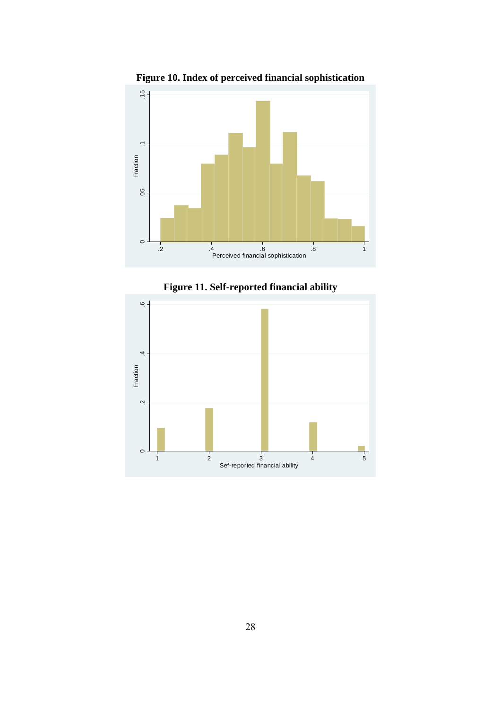





28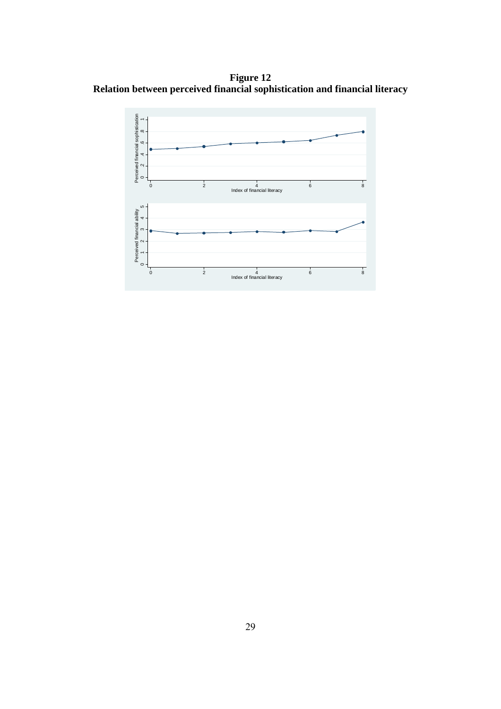**Figure 12 Relation between perceived financial sophistication and financial literacy** 

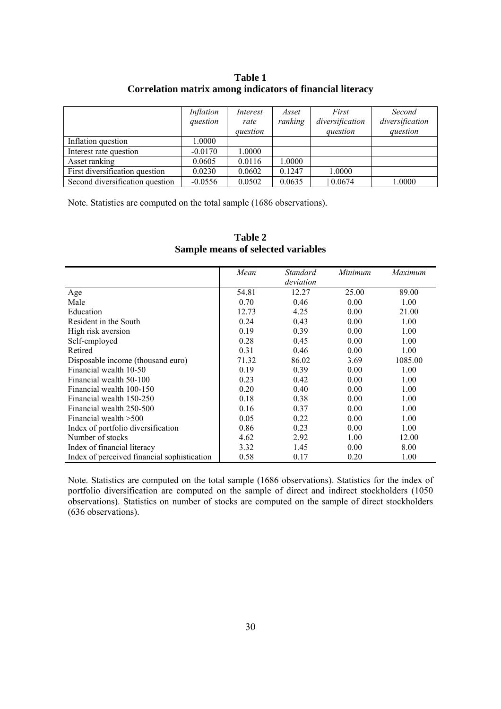| Table 1                                                   |
|-----------------------------------------------------------|
| Correlation matrix among indicators of financial literacy |

|                                 | Inflation<br>question | Interest<br>rate<br>question | Asset<br>ranking | First<br>diversification<br>question | Second<br>diversification<br>question |
|---------------------------------|-----------------------|------------------------------|------------------|--------------------------------------|---------------------------------------|
| Inflation question              | 0000.1                |                              |                  |                                      |                                       |
| Interest rate question          | $-0.0170$             | 1.0000                       |                  |                                      |                                       |
| Asset ranking                   | 0.0605                | 0.0116                       | 1.0000           |                                      |                                       |
| First diversification question  | 0.0230                | 0.0602                       | 0.1247           | 1.0000                               |                                       |
| Second diversification question | $-0.0556$             | 0.0502                       | 0.0635           | 0.0674                               | 1.0000                                |

Note. Statistics are computed on the total sample (1686 observations).

|                                             | Mean  | Standard  | Minimum | Maximum |
|---------------------------------------------|-------|-----------|---------|---------|
|                                             |       | deviation |         |         |
| Age                                         | 54.81 | 12.27     | 25.00   | 89.00   |
| Male                                        | 0.70  | 0.46      | 0.00    | 1.00    |
| Education                                   | 12.73 | 4.25      | 0.00    | 21.00   |
| Resident in the South                       | 0.24  | 0.43      | 0.00    | 1.00    |
| High risk aversion                          | 0.19  | 0.39      | 0.00    | 1.00    |
| Self-employed                               | 0.28  | 0.45      | 0.00    | 1.00    |
| Retired                                     | 0.31  | 0.46      | 0.00    | 1.00    |
| Disposable income (thousand euro)           | 71.32 | 86.02     | 3.69    | 1085.00 |
| Financial wealth 10-50                      | 0.19  | 0.39      | 0.00    | 1.00    |
| Financial wealth 50-100                     | 0.23  | 0.42      | 0.00    | 1.00    |
| Financial wealth 100-150                    | 0.20  | 0.40      | 0.00    | 1.00    |
| Financial wealth 150-250                    | 0.18  | 0.38      | 0.00    | 1.00    |
| Financial wealth 250-500                    | 0.16  | 0.37      | 0.00    | 1.00    |
| Financial wealth > 500                      | 0.05  | 0.22      | 0.00    | 1.00    |
| Index of portfolio diversification          | 0.86  | 0.23      | 0.00    | 1.00    |
| Number of stocks                            | 4.62  | 2.92      | 1.00    | 12.00   |
| Index of financial literacy                 | 3.32  | 1.45      | 0.00    | 8.00    |
| Index of perceived financial sophistication | 0.58  | 0.17      | 0.20    | 1.00    |

**Table 2 Sample means of selected variables** 

Note. Statistics are computed on the total sample (1686 observations). Statistics for the index of portfolio diversification are computed on the sample of direct and indirect stockholders (1050 observations). Statistics on number of stocks are computed on the sample of direct stockholders (636 observations).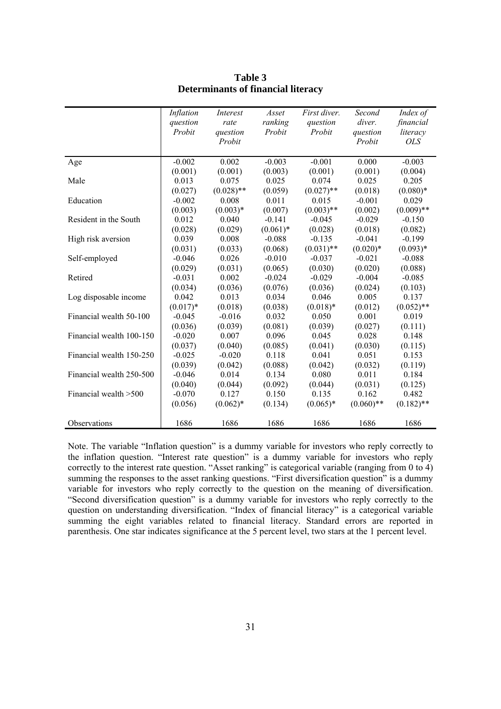|                          | Inflation  | Interest     | Asset       | First diver. | Second       | Index of     |
|--------------------------|------------|--------------|-------------|--------------|--------------|--------------|
|                          | question   | rate         | ranking     | question     | diver.       | financial    |
|                          | Probit     | question     | Probit      | Probit       | question     | literacy     |
|                          |            | Probit       |             |              | Probit       | <i>OLS</i>   |
|                          |            |              |             |              |              |              |
| Age                      | $-0.002$   | 0.002        | $-0.003$    | $-0.001$     | 0.000        | $-0.003$     |
|                          | (0.001)    | (0.001)      | (0.003)     | (0.001)      | (0.001)      | (0.004)      |
| Male                     | 0.013      | 0.075        | 0.025       | 0.074        | 0.025        | 0.205        |
|                          | (0.027)    | $(0.028)$ ** | (0.059)     | $(0.027)$ ** | (0.018)      | $(0.080)*$   |
| Education                | $-0.002$   | 0.008        | 0.011       | 0.015        | $-0.001$     | 0.029        |
|                          | (0.003)    | $(0.003)*$   | (0.007)     | $(0.003)$ ** | (0.002)      | $(0.009)$ ** |
| Resident in the South    | 0.012      | 0.040        | $-0.141$    | $-0.045$     | $-0.029$     | $-0.150$     |
|                          | (0.028)    | (0.029)      | $(0.061)^*$ | (0.028)      | (0.018)      | (0.082)      |
| High risk aversion       | 0.039      | 0.008        | $-0.088$    | $-0.135$     | $-0.041$     | $-0.199$     |
|                          | (0.031)    | (0.033)      | (0.068)     | $(0.031)$ ** | $(0.020)*$   | $(0.093)*$   |
| Self-employed            | $-0.046$   | 0.026        | $-0.010$    | $-0.037$     | $-0.021$     | $-0.088$     |
|                          | (0.029)    | (0.031)      | (0.065)     | (0.030)      | (0.020)      | (0.088)      |
| Retired                  | $-0.031$   | 0.002        | $-0.024$    | $-0.029$     | $-0.004$     | $-0.085$     |
|                          | (0.034)    | (0.036)      | (0.076)     | (0.036)      | (0.024)      | (0.103)      |
| Log disposable income    | 0.042      | 0.013        | 0.034       | 0.046        | 0.005        | 0.137        |
|                          | $(0.017)*$ | (0.018)      | (0.038)     | $(0.018)*$   | (0.012)      | $(0.052)$ ** |
| Financial wealth 50-100  | $-0.045$   | $-0.016$     | 0.032       | 0.050        | 0.001        | 0.019        |
|                          | (0.036)    | (0.039)      | (0.081)     | (0.039)      | (0.027)      | (0.111)      |
| Financial wealth 100-150 | $-0.020$   | 0.007        | 0.096       | 0.045        | 0.028        | 0.148        |
|                          | (0.037)    | (0.040)      | (0.085)     | (0.041)      | (0.030)      | (0.115)      |
| Financial wealth 150-250 | $-0.025$   | $-0.020$     | 0.118       | 0.041        | 0.051        | 0.153        |
|                          | (0.039)    | (0.042)      | (0.088)     | (0.042)      | (0.032)      | (0.119)      |
| Financial wealth 250-500 | $-0.046$   | 0.014        | 0.134       | 0.080        | 0.011        | 0.184        |
|                          | (0.040)    | (0.044)      | (0.092)     | (0.044)      | (0.031)      | (0.125)      |
| Financial wealth > 500   | $-0.070$   | 0.127        | 0.150       | 0.135        | 0.162        | 0.482        |
|                          | (0.056)    | $(0.062)*$   | (0.134)     | $(0.065)*$   | $(0.060)$ ** | $(0.182)$ ** |
|                          |            |              |             |              |              |              |
| Observations             | 1686       | 1686         | 1686        | 1686         | 1686         | 1686         |

**Table 3 Determinants of financial literacy** 

Note. The variable "Inflation question" is a dummy variable for investors who reply correctly to the inflation question. "Interest rate question" is a dummy variable for investors who reply correctly to the interest rate question. "Asset ranking" is categorical variable (ranging from 0 to 4) summing the responses to the asset ranking questions. "First diversification question" is a dummy variable for investors who reply correctly to the question on the meaning of diversification. "Second diversification question" is a dummy variable for investors who reply correctly to the question on understanding diversification. "Index of financial literacy" is a categorical variable summing the eight variables related to financial literacy. Standard errors are reported in parenthesis. One star indicates significance at the 5 percent level, two stars at the 1 percent level.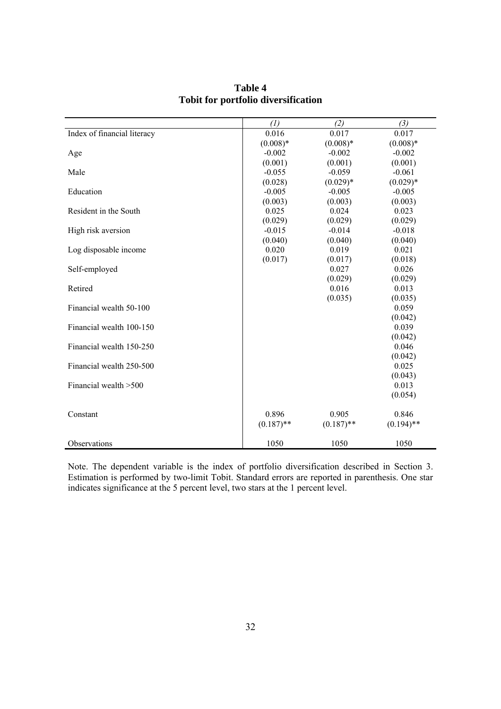|                             | (1)          | (2)          | (3)          |
|-----------------------------|--------------|--------------|--------------|
| Index of financial literacy | 0.016        | 0.017        | 0.017        |
|                             | $(0.008)*$   | $(0.008)*$   | $(0.008)*$   |
| Age                         | $-0.002$     | $-0.002$     | $-0.002$     |
|                             | (0.001)      | (0.001)      | (0.001)      |
| Male                        | $-0.055$     | $-0.059$     | $-0.061$     |
|                             | (0.028)      | $(0.029)*$   | $(0.029)*$   |
| Education                   | $-0.005$     | $-0.005$     | $-0.005$     |
|                             | (0.003)      | (0.003)      | (0.003)      |
| Resident in the South       | 0.025        | 0.024        | 0.023        |
|                             | (0.029)      | (0.029)      | (0.029)      |
| High risk aversion          | $-0.015$     | $-0.014$     | $-0.018$     |
|                             | (0.040)      | (0.040)      | (0.040)      |
| Log disposable income       | 0.020        | 0.019        | 0.021        |
|                             | (0.017)      | (0.017)      | (0.018)      |
| Self-employed               |              | 0.027        | 0.026        |
|                             |              | (0.029)      | (0.029)      |
| Retired                     |              | 0.016        | 0.013        |
|                             |              | (0.035)      | (0.035)      |
| Financial wealth 50-100     |              |              | 0.059        |
|                             |              |              | (0.042)      |
| Financial wealth 100-150    |              |              | 0.039        |
|                             |              |              | (0.042)      |
| Financial wealth 150-250    |              |              | 0.046        |
|                             |              |              | (0.042)      |
| Financial wealth 250-500    |              |              | 0.025        |
|                             |              |              | (0.043)      |
| Financial wealth > 500      |              |              | 0.013        |
|                             |              |              | (0.054)      |
| Constant                    | 0.896        | 0.905        | 0.846        |
|                             | $(0.187)$ ** | $(0.187)$ ** | $(0.194)$ ** |
|                             |              |              |              |
| Observations                | 1050         | 1050         | 1050         |

**Table 4 Tobit for portfolio diversification** 

Note. The dependent variable is the index of portfolio diversification described in Section 3. Estimation is performed by two-limit Tobit. Standard errors are reported in parenthesis. One star indicates significance at the 5 percent level, two stars at the 1 percent level.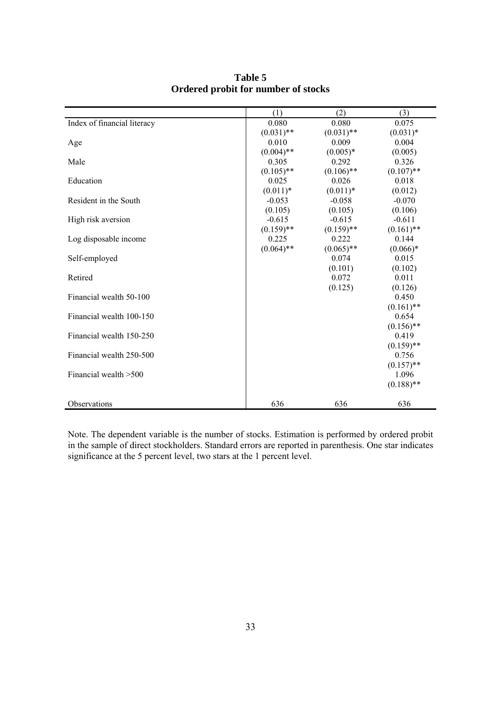|                             | (1)          | (2)          | (3)          |
|-----------------------------|--------------|--------------|--------------|
| Index of financial literacy | 0.080        | 0.080        | 0.075        |
|                             | $(0.031)$ ** | $(0.031)$ ** | $(0.031)*$   |
| Age                         | 0.010        | 0.009        | 0.004        |
|                             | $(0.004)$ ** | $(0.005)*$   | (0.005)      |
| Male                        | 0.305        | 0.292        | 0.326        |
|                             | $(0.105)$ ** | $(0.106)$ ** | $(0.107)$ ** |
| Education                   | 0.025        | 0.026        | 0.018        |
|                             | $(0.011)*$   | $(0.011)*$   | (0.012)      |
| Resident in the South       | $-0.053$     | $-0.058$     | $-0.070$     |
|                             | (0.105)      | (0.105)      | (0.106)      |
| High risk aversion          | $-0.615$     | $-0.615$     | $-0.611$     |
|                             | $(0.159)$ ** | $(0.159)$ ** | $(0.161)$ ** |
| Log disposable income       | 0.225        | 0.222        | 0.144        |
|                             | $(0.064)$ ** | $(0.065)$ ** | $(0.066)*$   |
| Self-employed               |              | 0.074        | 0.015        |
|                             |              | (0.101)      | (0.102)      |
| Retired                     |              | 0.072        | 0.011        |
|                             |              | (0.125)      | (0.126)      |
| Financial wealth 50-100     |              |              | 0.450        |
|                             |              |              | $(0.161)$ ** |
| Financial wealth 100-150    |              |              | 0.654        |
|                             |              |              | $(0.156)$ ** |
| Financial wealth 150-250    |              |              | 0.419        |
|                             |              |              | $(0.159)$ ** |
| Financial wealth 250-500    |              |              | 0.756        |
|                             |              |              | $(0.157)$ ** |
| Financial wealth > 500      |              |              | 1.096        |
|                             |              |              | $(0.188)$ ** |
|                             |              |              |              |
| Observations                | 636          | 636          | 636          |

**Table 5 Ordered probit for number of stocks** 

Note. The dependent variable is the number of stocks. Estimation is performed by ordered probit in the sample of direct stockholders. Standard errors are reported in parenthesis. One star indicates significance at the 5 percent level, two stars at the 1 percent level.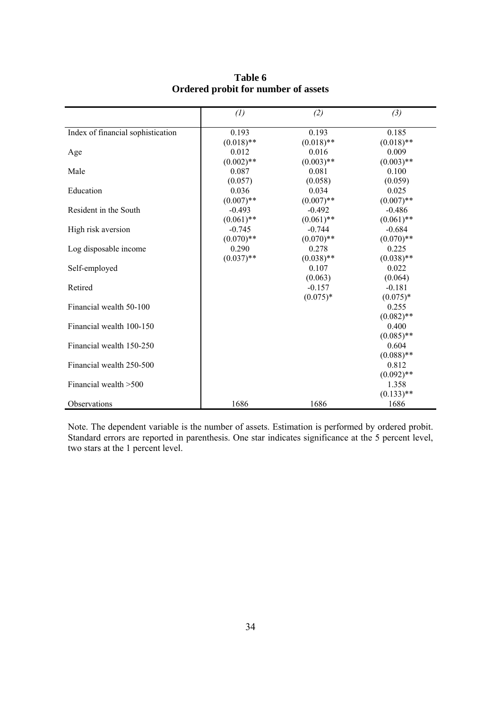|                                   | (1)          | (2)          | (3)          |
|-----------------------------------|--------------|--------------|--------------|
|                                   |              |              |              |
| Index of financial sophistication | 0.193        | 0.193        | 0.185        |
|                                   | $(0.018)$ ** | $(0.018)$ ** | $(0.018)$ ** |
| Age                               | 0.012        | 0.016        | 0.009        |
|                                   | $(0.002)$ ** | $(0.003)$ ** | $(0.003)$ ** |
| Male                              | 0.087        | 0.081        | 0.100        |
|                                   | (0.057)      | (0.058)      | (0.059)      |
| Education                         | 0.036        | 0.034        | 0.025        |
|                                   | $(0.007)$ ** | $(0.007)$ ** | $(0.007)$ ** |
| Resident in the South             | $-0.493$     | $-0.492$     | $-0.486$     |
|                                   | $(0.061)$ ** | $(0.061)$ ** | $(0.061)$ ** |
| High risk aversion                | $-0.745$     | $-0.744$     | $-0.684$     |
|                                   | $(0.070)**$  | $(0.070)**$  | $(0.070)**$  |
| Log disposable income             | 0.290        | 0.278        | 0.225        |
|                                   | $(0.037)$ ** | $(0.038)$ ** | $(0.038)$ ** |
| Self-employed                     |              | 0.107        | 0.022        |
|                                   |              | (0.063)      | (0.064)      |
| Retired                           |              | $-0.157$     | $-0.181$     |
|                                   |              | $(0.075)*$   | $(0.075)*$   |
| Financial wealth 50-100           |              |              | 0.255        |
|                                   |              |              | $(0.082)$ ** |
| Financial wealth 100-150          |              |              | 0.400        |
|                                   |              |              | $(0.085)$ ** |
| Financial wealth 150-250          |              |              | 0.604        |
|                                   |              |              | $(0.088)$ ** |
| Financial wealth 250-500          |              |              | 0.812        |
|                                   |              |              | $(0.092)$ ** |
| Financial wealth > 500            |              |              | 1.358        |
|                                   |              |              | $(0.133)$ ** |
| Observations                      | 1686         | 1686         | 1686         |

### **Table 6 Ordered probit for number of assets**

Note. The dependent variable is the number of assets. Estimation is performed by ordered probit. Standard errors are reported in parenthesis. One star indicates significance at the 5 percent level, two stars at the 1 percent level.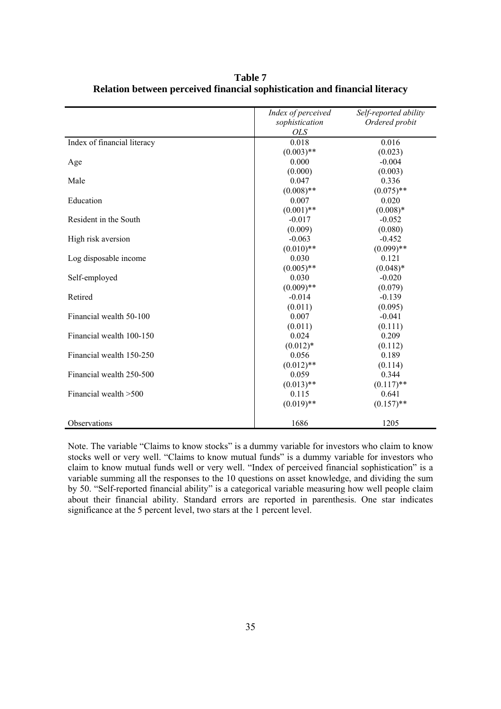|                             | Index of perceived | Self-reported ability |
|-----------------------------|--------------------|-----------------------|
|                             | sophistication     | Ordered probit        |
|                             | <b>OLS</b>         |                       |
| Index of financial literacy | 0.018              | 0.016                 |
|                             | $(0.003)$ **       | (0.023)               |
| Age                         | 0.000              | $-0.004$              |
|                             | (0.000)            | (0.003)               |
| Male                        | 0.047              | 0.336                 |
|                             | $(0.008)$ **       | $(0.075)$ **          |
| Education                   | 0.007              | 0.020                 |
|                             | $(0.001)$ **       | $(0.008)*$            |
| Resident in the South       | $-0.017$           | $-0.052$              |
|                             | (0.009)            | (0.080)               |
| High risk aversion          | $-0.063$           | $-0.452$              |
|                             | $(0.010)$ **       | $(0.099)$ **          |
| Log disposable income       | 0.030              | 0.121                 |
|                             | $(0.005)$ **       | $(0.048)*$            |
| Self-employed               | 0.030              | $-0.020$              |
|                             | $(0.009)$ **       | (0.079)               |
| Retired                     | $-0.014$           | $-0.139$              |
|                             | (0.011)            | (0.095)               |
| Financial wealth 50-100     | 0.007              | $-0.041$              |
|                             | (0.011)            | (0.111)               |
| Financial wealth 100-150    | 0.024              | 0.209                 |
|                             | $(0.012)*$         | (0.112)               |
| Financial wealth 150-250    | 0.056              | 0.189                 |
|                             | $(0.012)$ **       | (0.114)               |
| Financial wealth 250-500    | 0.059              | 0.344                 |
|                             | $(0.013)$ **       | $(0.117)$ **          |
| Financial wealth > 500      | 0.115              | 0.641                 |
|                             | $(0.019)$ **       | $(0.157)$ **          |
|                             |                    |                       |
| Observations                | 1686               | 1205                  |

**Table 7 Relation between perceived financial sophistication and financial literacy** 

Note. The variable "Claims to know stocks" is a dummy variable for investors who claim to know stocks well or very well. "Claims to know mutual funds" is a dummy variable for investors who claim to know mutual funds well or very well. "Index of perceived financial sophistication" is a variable summing all the responses to the 10 questions on asset knowledge, and dividing the sum by 50. "Self-reported financial ability" is a categorical variable measuring how well people claim about their financial ability. Standard errors are reported in parenthesis. One star indicates significance at the 5 percent level, two stars at the 1 percent level.